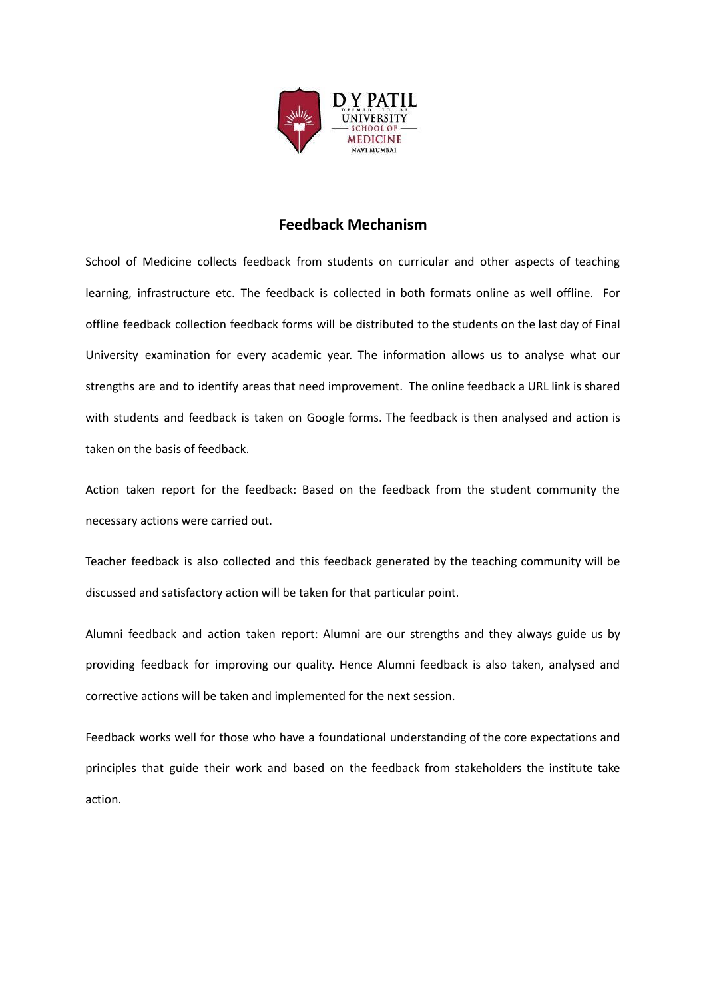

# **Feedback Mechanism**

School of Medicine collects feedback from students on curricular and other aspects of teaching learning, infrastructure etc. The feedback is collected in both formats online as well offline. For offline feedback collection feedback forms will be distributed to the students on the last day of Final University examination for every academic year. The information allows us to analyse what our strengths are and to identify areas that need improvement. The online feedback a URL link is shared with students and feedback is taken on Google forms. The feedback is then analysed and action is taken on the basis of feedback.

Action taken report for the feedback: Based on the feedback from the student community the necessary actions were carried out.

Teacher feedback is also collected and this feedback generated by the teaching community will be discussed and satisfactory action will be taken for that particular point.

Alumni feedback and action taken report: Alumni are our strengths and they always guide us by providing feedback for improving our quality. Hence Alumni feedback is also taken, analysed and corrective actions will be taken and implemented for the next session.

Feedback works well for those who have a foundational understanding of the core expectations and principles that guide their work and based on the feedback from stakeholders the institute take action.